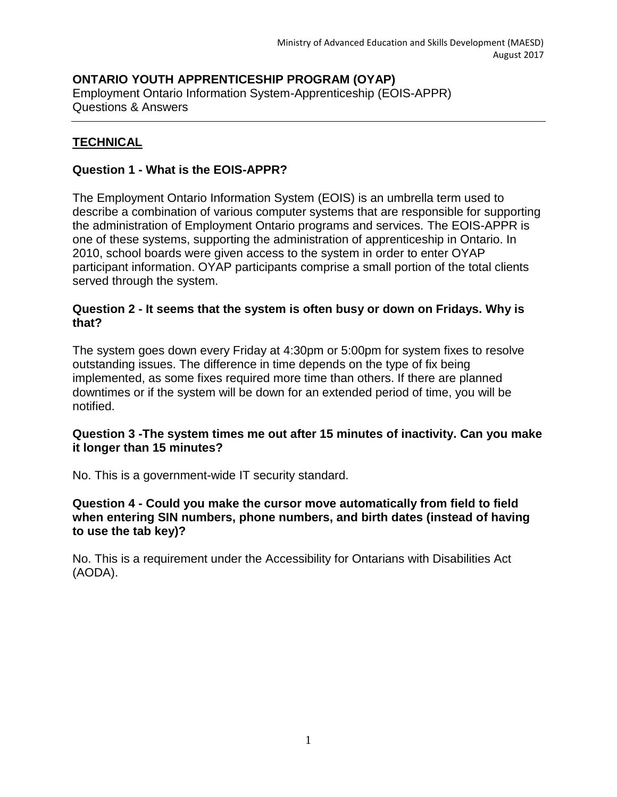### **ONTARIO YOUTH APPRENTICESHIP PROGRAM (OYAP)** Employment Ontario Information System-Apprenticeship (EOIS-APPR) Questions & Answers

## **TECHNICAL**

## **Question 1 - What is the EOIS-APPR?**

The Employment Ontario Information System (EOIS) is an umbrella term used to describe a combination of various computer systems that are responsible for supporting the administration of Employment Ontario programs and services. The EOIS-APPR is one of these systems, supporting the administration of apprenticeship in Ontario. In 2010, school boards were given access to the system in order to enter OYAP participant information. OYAP participants comprise a small portion of the total clients served through the system.

### **Question 2 - It seems that the system is often busy or down on Fridays. Why is that?**

The system goes down every Friday at 4:30pm or 5:00pm for system fixes to resolve outstanding issues. The difference in time depends on the type of fix being implemented, as some fixes required more time than others. If there are planned downtimes or if the system will be down for an extended period of time, you will be notified.

### **Question 3 -The system times me out after 15 minutes of inactivity. Can you make it longer than 15 minutes?**

No. This is a government-wide IT security standard.

### **Question 4 - Could you make the cursor move automatically from field to field when entering SIN numbers, phone numbers, and birth dates (instead of having to use the tab key)?**

No. This is a requirement under the Accessibility for Ontarians with Disabilities Act (AODA).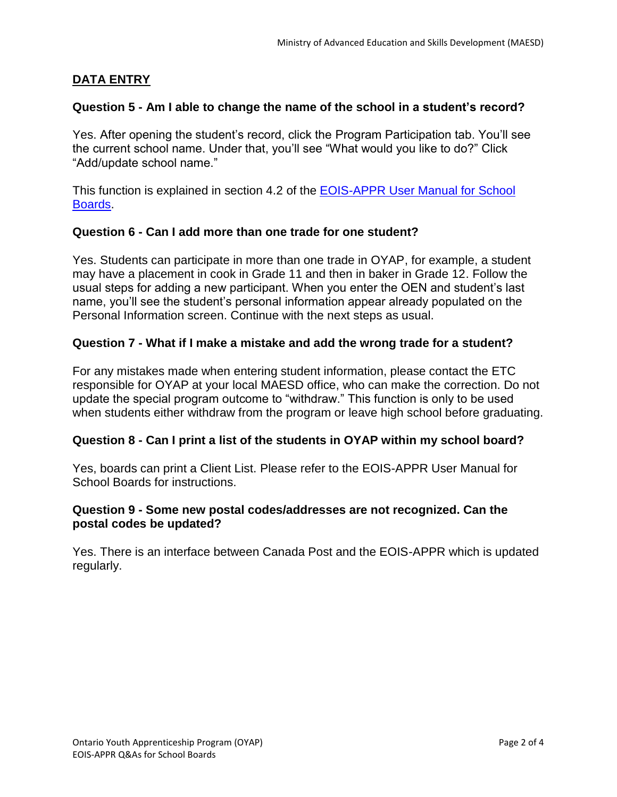# **DATA ENTRY**

### **Question 5 - Am I able to change the name of the school in a student's record?**

Yes. After opening the student's record, click the Program Participation tab. You'll see the current school name. Under that, you'll see "What would you like to do?" Click "Add/update school name."

This function is explained in section 4.2 of the [EOIS-APPR User Manual for School](http://www.tcu.gov.on.ca/eng/eopg/eotransformation/eois-schoolboards.html)  [Boards.](http://www.tcu.gov.on.ca/eng/eopg/eotransformation/eois-schoolboards.html)

### **Question 6 - Can I add more than one trade for one student?**

Yes. Students can participate in more than one trade in OYAP, for example, a student may have a placement in cook in Grade 11 and then in baker in Grade 12. Follow the usual steps for adding a new participant. When you enter the OEN and student's last name, you'll see the student's personal information appear already populated on the Personal Information screen. Continue with the next steps as usual.

### **Question 7 - What if I make a mistake and add the wrong trade for a student?**

For any mistakes made when entering student information, please contact the ETC responsible for OYAP at your local MAESD office, who can make the correction. Do not update the special program outcome to "withdraw." This function is only to be used when students either withdraw from the program or leave high school before graduating.

### **Question 8 - Can I print a list of the students in OYAP within my school board?**

Yes, boards can print a Client List. Please refer to the EOIS-APPR User Manual for School Boards for instructions.

### **Question 9 - Some new postal codes/addresses are not recognized. Can the postal codes be updated?**

Yes. There is an interface between Canada Post and the EOIS-APPR which is updated regularly.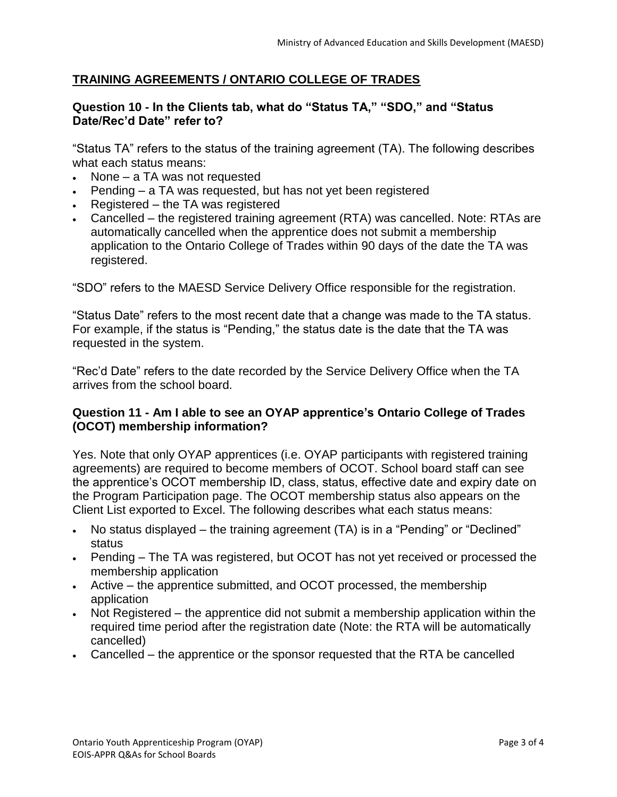### **TRAINING AGREEMENTS / ONTARIO COLLEGE OF TRADES**

#### **Question 10 - In the Clients tab, what do "Status TA," "SDO," and "Status Date/Rec'd Date" refer to?**

"Status TA" refers to the status of the training agreement (TA). The following describes what each status means:

- $\bullet$  None a TA was not requested
- Pending a TA was requested, but has not yet been registered
- Registered the TA was registered
- Cancelled the registered training agreement (RTA) was cancelled. Note: RTAs are automatically cancelled when the apprentice does not submit a membership application to the Ontario College of Trades within 90 days of the date the TA was registered.

"SDO" refers to the MAESD Service Delivery Office responsible for the registration.

"Status Date" refers to the most recent date that a change was made to the TA status. For example, if the status is "Pending," the status date is the date that the TA was requested in the system.

"Rec'd Date" refers to the date recorded by the Service Delivery Office when the TA arrives from the school board.

### **Question 11 - Am I able to see an OYAP apprentice's Ontario College of Trades (OCOT) membership information?**

Yes. Note that only OYAP apprentices (i.e. OYAP participants with registered training agreements) are required to become members of OCOT. School board staff can see the apprentice's OCOT membership ID, class, status, effective date and expiry date on the Program Participation page. The OCOT membership status also appears on the Client List exported to Excel. The following describes what each status means:

- No status displayed the training agreement (TA) is in a "Pending" or "Declined" status
- Pending The TA was registered, but OCOT has not yet received or processed the membership application
- Active the apprentice submitted, and OCOT processed, the membership application
- Not Registered the apprentice did not submit a membership application within the required time period after the registration date (Note: the RTA will be automatically cancelled)
- Cancelled the apprentice or the sponsor requested that the RTA be cancelled